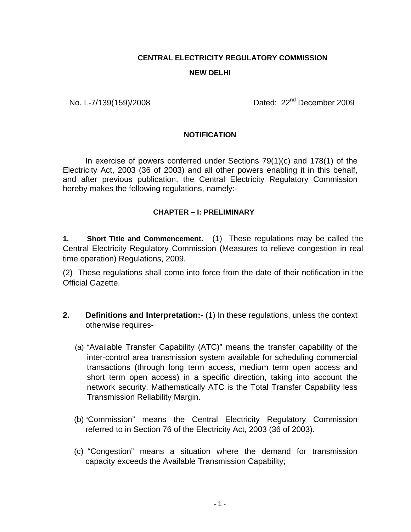# **CENTRAL ELECTRICITY REGULATORY COMMISSION NEW DELHI**

No. L-7/139(159)/2008 **Dated: 22<sup>nd</sup> December 2009** 

#### **NOTIFICATION**

In exercise of powers conferred under Sections 79(1)(c) and 178(1) of the Electricity Act, 2003 (36 of 2003) and all other powers enabling it in this behalf, and after previous publication, the Central Electricity Regulatory Commission hereby makes the following regulations, namely:-

#### **CHAPTER – I: PRELIMINARY**

**1. Short Title and Commencement.** (1) These regulations may be called the Central Electricity Regulatory Commission (Measures to relieve congestion in real time operation) Regulations, 2009.

(2) These regulations shall come into force from the date of their notification in the Official Gazette.

- **2. Definitions and Interpretation:-** (1) In these regulations, unless the context otherwise requires-
	- (a) "Available Transfer Capability (ATC)" means the transfer capability of the inter-control area transmission system available for scheduling commercial transactions (through long term access, medium term open access and short term open access) in a specific direction, taking into account the network security. Mathematically ATC is the Total Transfer Capability less Transmission Reliability Margin.
	- (b) "Commission" means the Central Electricity Regulatory Commission referred to in Section 76 of the Electricity Act, 2003 (36 of 2003).
	- (c) "Congestion" means a situation where the demand for transmission capacity exceeds the Available Transmission Capability;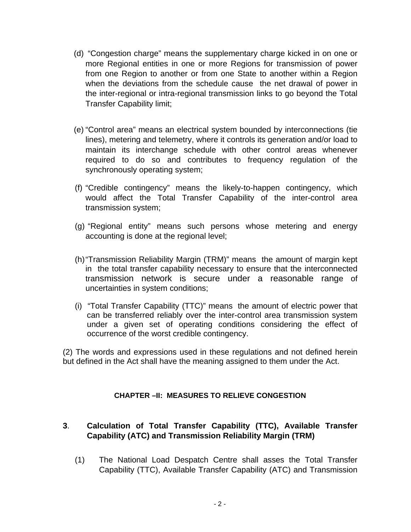- (d) "Congestion charge" means the supplementary charge kicked in on one or more Regional entities in one or more Regions for transmission of power from one Region to another or from one State to another within a Region when the deviations from the schedule cause the net drawal of power in the inter-regional or intra-regional transmission links to go beyond the Total Transfer Capability limit;
- (e) "Control area" means an electrical system bounded by interconnections (tie lines), metering and telemetry, where it controls its generation and/or load to maintain its interchange schedule with other control areas whenever required to do so and contributes to frequency regulation of the synchronously operating system;
- (f) "Credible contingency" means the likely-to-happen contingency, which would affect the Total Transfer Capability of the inter-control area transmission system;
- (g) "Regional entity" means such persons whose metering and energy accounting is done at the regional level;
- (h)"Transmission Reliability Margin (TRM)" meansthe amount of margin kept in the total transfer capability necessary to ensure that the interconnected transmission network is secure under a reasonable range of uncertainties in system conditions;
- (i) "Total Transfer Capability (TTC)" means the amount of electric power that can be transferred reliably over the inter-control area transmission system under a given set of operating conditions considering the effect of occurrence of the worst credible contingency.

(2) The words and expressions used in these regulations and not defined herein but defined in the Act shall have the meaning assigned to them under the Act.

#### **CHAPTER –II: MEASURES TO RELIEVE CONGESTION**

## **3**. **Calculation of Total Transfer Capability (TTC), Available Transfer Capability (ATC) and Transmission Reliability Margin (TRM)**

(1) The National Load Despatch Centre shall asses the Total Transfer Capability (TTC), Available Transfer Capability (ATC) and Transmission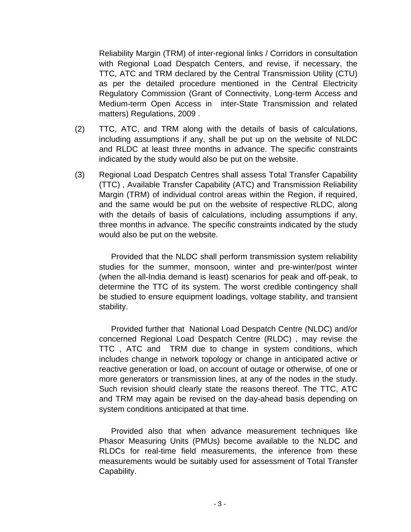Reliability Margin (TRM) of inter-regional links / Corridors in consultation with Regional Load Despatch Centers, and revise, if necessary, the TTC, ATC and TRM declared by the Central Transmission Utility (CTU) as per the detailed procedure mentioned in the Central Electricity Regulatory Commission (Grant of Connectivity, Long-term Access and Medium-term Open Access in inter-State Transmission and related matters) Regulations, 2009 .

- (2) TTC, ATC, and TRM along with the details of basis of calculations, including assumptions if any, shall be put up on the website of NLDC and RLDC at least three months in advance. The specific constraints indicated by the study would also be put on the website.
- (3) Regional Load Despatch Centres shall assess Total Transfer Capability (TTC) , Available Transfer Capability (ATC) and Transmission Reliability Margin (TRM) of individual control areas within the Region, if required, and the same would be put on the website of respective RLDC, along with the details of basis of calculations, including assumptions if any, three months in advance. The specific constraints indicated by the study would also be put on the website.

 Provided that the NLDC shall perform transmission system reliability studies for the summer, monsoon, winter and pre-winter/post winter (when the all-India demand is least) scenarios for peak and off-peak, to determine the TTC of its system. The worst credible contingency shall be studied to ensure equipment loadings, voltage stability, and transient stability.

 Provided further that National Load Despatch Centre (NLDC) and/or concerned Regional Load Despatch Centre (RLDC) , may revise the TTC , ATC and TRM due to change in system conditions, which includes change in network topology or change in anticipated active or reactive generation or load, on account of outage or otherwise, of one or more generators or transmission lines, at any of the nodes in the study. Such revision should clearly state the reasons thereof. The TTC, ATC and TRM may again be revised on the day-ahead basis depending on system conditions anticipated at that time.

 Provided also that when advance measurement techniques like Phasor Measuring Units (PMUs) become available to the NLDC and RLDCs for real-time field measurements, the inference from these measurements would be suitably used for assessment of Total Transfer Capability.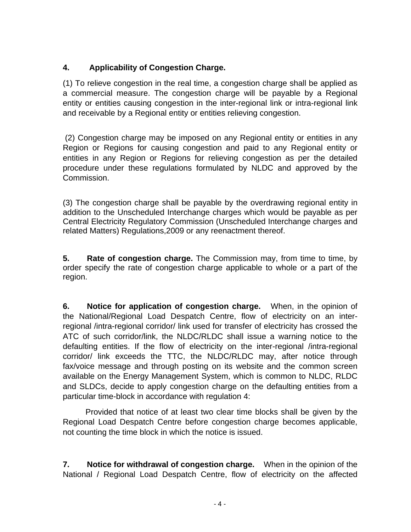## **4. Applicability of Congestion Charge.**

(1) To relieve congestion in the real time, a congestion charge shall be applied as a commercial measure. The congestion charge will be payable by a Regional entity or entities causing congestion in the inter-regional link or intra-regional link and receivable by a Regional entity or entities relieving congestion.

 (2) Congestion charge may be imposed on any Regional entity or entities in any Region or Regions for causing congestion and paid to any Regional entity or entities in any Region or Regions for relieving congestion as per the detailed procedure under these regulations formulated by NLDC and approved by the Commission.

(3) The congestion charge shall be payable by the overdrawing regional entity in addition to the Unscheduled Interchange charges which would be payable as per Central Electricity Regulatory Commission (Unscheduled Interchange charges and related Matters) Regulations,2009 or any reenactment thereof.

**5. Rate of congestion charge.** The Commission may, from time to time, by order specify the rate of congestion charge applicable to whole or a part of the region.

**6. Notice for application of congestion charge.** When, in the opinion of the National/Regional Load Despatch Centre, flow of electricity on an interregional /intra-regional corridor/ link used for transfer of electricity has crossed the ATC of such corridor/link, the NLDC/RLDC shall issue a warning notice to the defaulting entities. If the flow of electricity on the inter-regional /intra-regional corridor/ link exceeds the TTC, the NLDC/RLDC may, after notice through fax/voice message and through posting on its website and the common screen available on the Energy Management System, which is common to NLDC, RLDC and SLDCs, decide to apply congestion charge on the defaulting entities from a particular time-block in accordance with regulation 4:

Provided that notice of at least two clear time blocks shall be given by the Regional Load Despatch Centre before congestion charge becomes applicable, not counting the time block in which the notice is issued.

**7. Notice for withdrawal of congestion charge.** When in the opinion of the National / Regional Load Despatch Centre, flow of electricity on the affected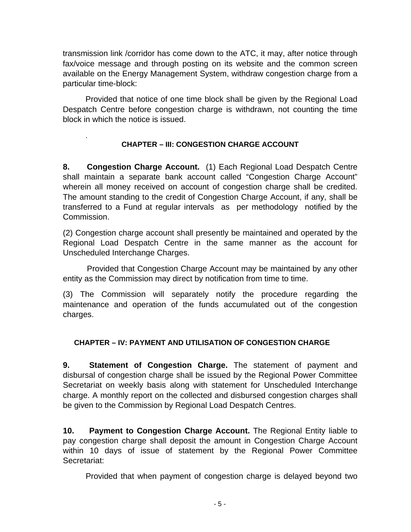transmission link /corridor has come down to the ATC, it may, after notice through fax/voice message and through posting on its website and the common screen available on the Energy Management System, withdraw congestion charge from a particular time-block:

Provided that notice of one time block shall be given by the Regional Load Despatch Centre before congestion charge is withdrawn, not counting the time block in which the notice is issued.

## **CHAPTER – III: CONGESTION CHARGE ACCOUNT**

.

**8. Congestion Charge Account.** (1) Each Regional Load Despatch Centre shall maintain a separate bank account called "Congestion Charge Account" wherein all money received on account of congestion charge shall be credited. The amount standing to the credit of Congestion Charge Account, if any, shall be transferred to a Fund at regular intervals as per methodology notified by the Commission.

(2) Congestion charge account shall presently be maintained and operated by the Regional Load Despatch Centre in the same manner as the account for Unscheduled Interchange Charges.

Provided that Congestion Charge Account may be maintained by any other entity as the Commission may direct by notification from time to time.

(3) The Commission will separately notify the procedure regarding the maintenance and operation of the funds accumulated out of the congestion charges.

## **CHAPTER – IV: PAYMENT AND UTILISATION OF CONGESTION CHARGE**

**9. Statement of Congestion Charge.** The statement of payment and disbursal of congestion charge shall be issued by the Regional Power Committee Secretariat on weekly basis along with statement for Unscheduled Interchange charge. A monthly report on the collected and disbursed congestion charges shall be given to the Commission by Regional Load Despatch Centres.

**10. Payment to Congestion Charge Account.** The Regional Entity liable to pay congestion charge shall deposit the amount in Congestion Charge Account within 10 days of issue of statement by the Regional Power Committee Secretariat:

Provided that when payment of congestion charge is delayed beyond two